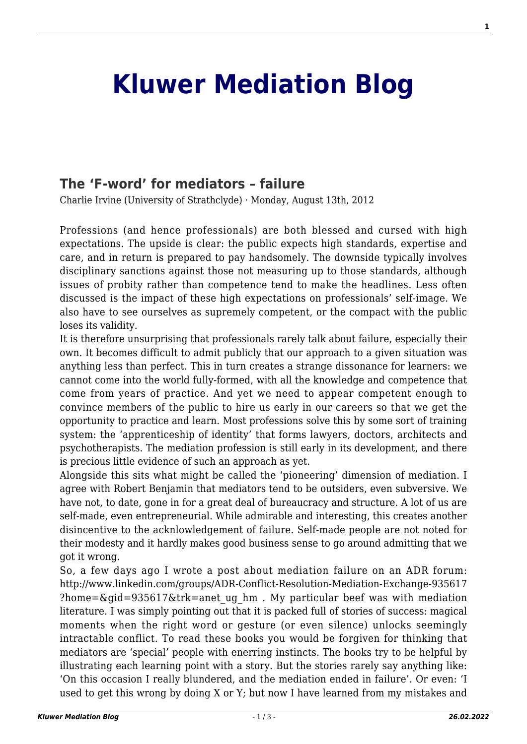## **[Kluwer Mediation Blog](http://mediationblog.kluwerarbitration.com/)**

## **[The 'F-word' for mediators – failure](http://mediationblog.kluwerarbitration.com/2012/08/13/the-f-word-for-mediators-failure/)**

Charlie Irvine (University of Strathclyde) · Monday, August 13th, 2012

Professions (and hence professionals) are both blessed and cursed with high expectations. The upside is clear: the public expects high standards, expertise and care, and in return is prepared to pay handsomely. The downside typically involves disciplinary sanctions against those not measuring up to those standards, although issues of probity rather than competence tend to make the headlines. Less often discussed is the impact of these high expectations on professionals' self-image. We also have to see ourselves as supremely competent, or the compact with the public loses its validity.

It is therefore unsurprising that professionals rarely talk about failure, especially their own. It becomes difficult to admit publicly that our approach to a given situation was anything less than perfect. This in turn creates a strange dissonance for learners: we cannot come into the world fully-formed, with all the knowledge and competence that come from years of practice. And yet we need to appear competent enough to convince members of the public to hire us early in our careers so that we get the opportunity to practice and learn. Most professions solve this by some sort of training system: the 'apprenticeship of identity' that forms lawyers, doctors, architects and psychotherapists. The mediation profession is still early in its development, and there is precious little evidence of such an approach as yet.

Alongside this sits what might be called the 'pioneering' dimension of mediation. I agree with Robert Benjamin that mediators tend to be outsiders, even subversive. We have not, to date, gone in for a great deal of bureaucracy and structure. A lot of us are self-made, even entrepreneurial. While admirable and interesting, this creates another disincentive to the acknlowledgement of failure. Self-made people are not noted for their modesty and it hardly makes good business sense to go around admitting that we got it wrong.

So, a few days ago I wrote a post about mediation failure on an ADR forum: http://www.linkedin.com/groups/ADR-Conflict-Resolution-Mediation-Exchange-935617 ?home=&gid=935617&trk=anet ug hm . My particular beef was with mediation literature. I was simply pointing out that it is packed full of stories of success: magical moments when the right word or gesture (or even silence) unlocks seemingly intractable conflict. To read these books you would be forgiven for thinking that mediators are 'special' people with enerring instincts. The books try to be helpful by illustrating each learning point with a story. But the stories rarely say anything like: 'On this occasion I really blundered, and the mediation ended in failure'. Or even: 'I used to get this wrong by doing X or Y; but now I have learned from my mistakes and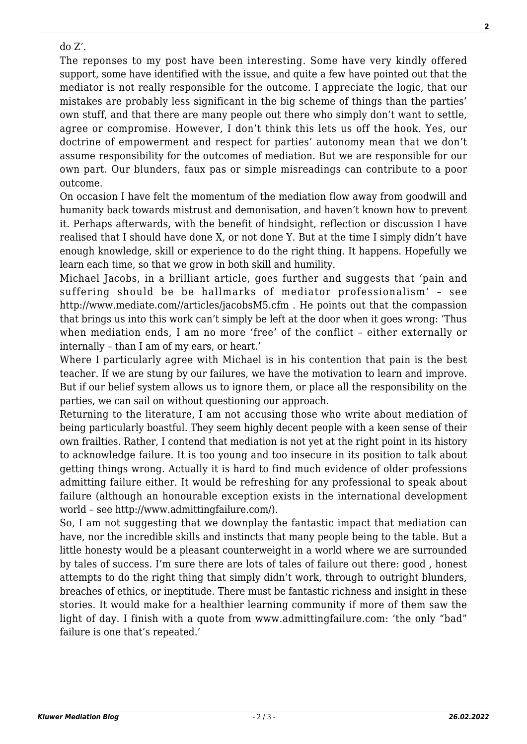## do Z'.

The reponses to my post have been interesting. Some have very kindly offered support, some have identified with the issue, and quite a few have pointed out that the mediator is not really responsible for the outcome. I appreciate the logic, that our mistakes are probably less significant in the big scheme of things than the parties' own stuff, and that there are many people out there who simply don't want to settle, agree or compromise. However, I don't think this lets us off the hook. Yes, our doctrine of empowerment and respect for parties' autonomy mean that we don't assume responsibility for the outcomes of mediation. But we are responsible for our own part. Our blunders, faux pas or simple misreadings can contribute to a poor outcome.

On occasion I have felt the momentum of the mediation flow away from goodwill and humanity back towards mistrust and demonisation, and haven't known how to prevent it. Perhaps afterwards, with the benefit of hindsight, reflection or discussion I have realised that I should have done X, or not done Y. But at the time I simply didn't have enough knowledge, skill or experience to do the right thing. It happens. Hopefully we learn each time, so that we grow in both skill and humility.

Michael Jacobs, in a brilliant article, goes further and suggests that 'pain and suffering should be be hallmarks of mediator professionalism' – see http://www.mediate.com//articles/jacobsM5.cfm . He points out that the compassion that brings us into this work can't simply be left at the door when it goes wrong: 'Thus when mediation ends, I am no more 'free' of the conflict – either externally or internally – than I am of my ears, or heart.'

Where I particularly agree with Michael is in his contention that pain is the best teacher. If we are stung by our failures, we have the motivation to learn and improve. But if our belief system allows us to ignore them, or place all the responsibility on the parties, we can sail on without questioning our approach.

Returning to the literature, I am not accusing those who write about mediation of being particularly boastful. They seem highly decent people with a keen sense of their own frailties. Rather, I contend that mediation is not yet at the right point in its history to acknowledge failure. It is too young and too insecure in its position to talk about getting things wrong. Actually it is hard to find much evidence of older professions admitting failure either. It would be refreshing for any professional to speak about failure (although an honourable exception exists in the international development world – see http://www.admittingfailure.com/).

So, I am not suggesting that we downplay the fantastic impact that mediation can have, nor the incredible skills and instincts that many people being to the table. But a little honesty would be a pleasant counterweight in a world where we are surrounded by tales of success. I'm sure there are lots of tales of failure out there: good , honest attempts to do the right thing that simply didn't work, through to outright blunders, breaches of ethics, or ineptitude. There must be fantastic richness and insight in these stories. It would make for a healthier learning community if more of them saw the light of day. I finish with a quote from www.admittingfailure.com: 'the only "bad" failure is one that's repeated.'